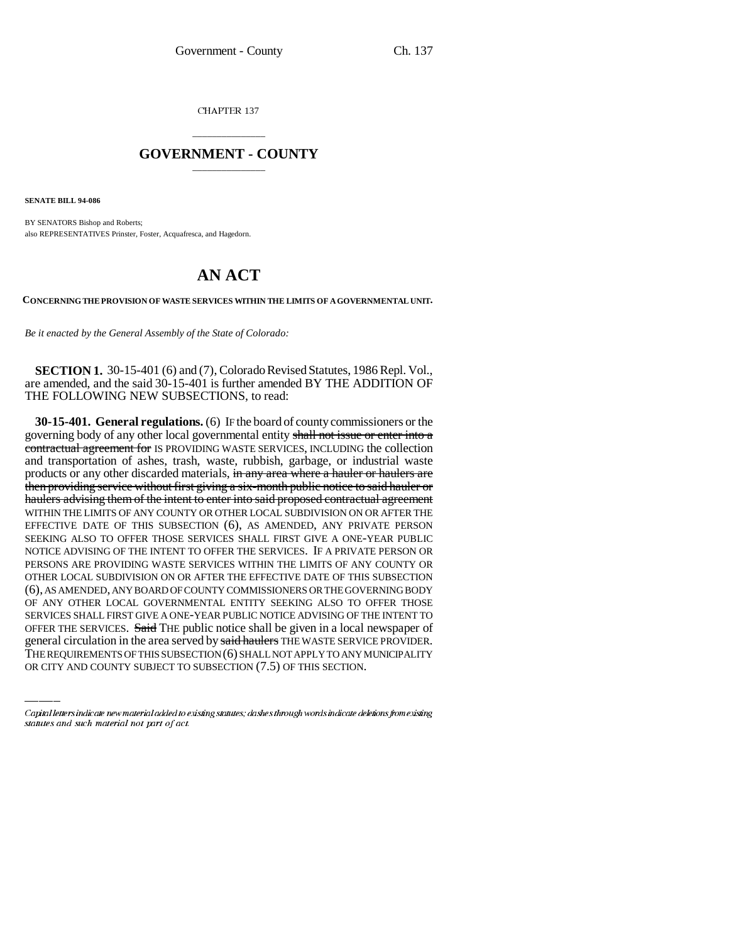CHAPTER 137

## \_\_\_\_\_\_\_\_\_\_\_\_\_\_\_ **GOVERNMENT - COUNTY** \_\_\_\_\_\_\_\_\_\_\_\_\_\_\_

**SENATE BILL 94-086**

BY SENATORS Bishop and Roberts; also REPRESENTATIVES Prinster, Foster, Acquafresca, and Hagedorn.

## **AN ACT**

**CONCERNING THE PROVISION OF WASTE SERVICES WITHIN THE LIMITS OF A GOVERNMENTAL UNIT.**

*Be it enacted by the General Assembly of the State of Colorado:*

**SECTION 1.** 30-15-401 (6) and (7), Colorado Revised Statutes, 1986 Repl. Vol., are amended, and the said 30-15-401 is further amended BY THE ADDITION OF THE FOLLOWING NEW SUBSECTIONS, to read:

SERVICES SHALL FIRST GIVE A ONE-YEAR PUBLIC NOTICE ADVISING OF THE INTENT TO **30-15-401. General regulations.** (6) IF the board of county commissioners or the governing body of any other local governmental entity shall not issue or enter into a contractual agreement for IS PROVIDING WASTE SERVICES, INCLUDING the collection and transportation of ashes, trash, waste, rubbish, garbage, or industrial waste products or any other discarded materials, in any area where a hauler or haulers are then providing service without first giving a six-month public notice to said hauler or haulers advising them of the intent to enter into said proposed contractual agreement WITHIN THE LIMITS OF ANY COUNTY OR OTHER LOCAL SUBDIVISION ON OR AFTER THE EFFECTIVE DATE OF THIS SUBSECTION (6), AS AMENDED, ANY PRIVATE PERSON SEEKING ALSO TO OFFER THOSE SERVICES SHALL FIRST GIVE A ONE-YEAR PUBLIC NOTICE ADVISING OF THE INTENT TO OFFER THE SERVICES. IF A PRIVATE PERSON OR PERSONS ARE PROVIDING WASTE SERVICES WITHIN THE LIMITS OF ANY COUNTY OR OTHER LOCAL SUBDIVISION ON OR AFTER THE EFFECTIVE DATE OF THIS SUBSECTION (6), AS AMENDED, ANY BOARD OF COUNTY COMMISSIONERS OR THE GOVERNING BODY OF ANY OTHER LOCAL GOVERNMENTAL ENTITY SEEKING ALSO TO OFFER THOSE OFFER THE SERVICES. Said THE public notice shall be given in a local newspaper of general circulation in the area served by said haulers THE WASTE SERVICE PROVIDER. THE REQUIREMENTS OF THIS SUBSECTION (6) SHALL NOT APPLY TO ANY MUNICIPALITY OR CITY AND COUNTY SUBJECT TO SUBSECTION (7.5) OF THIS SECTION.

Capital letters indicate new material added to existing statutes; dashes through words indicate deletions from existing statutes and such material not part of act.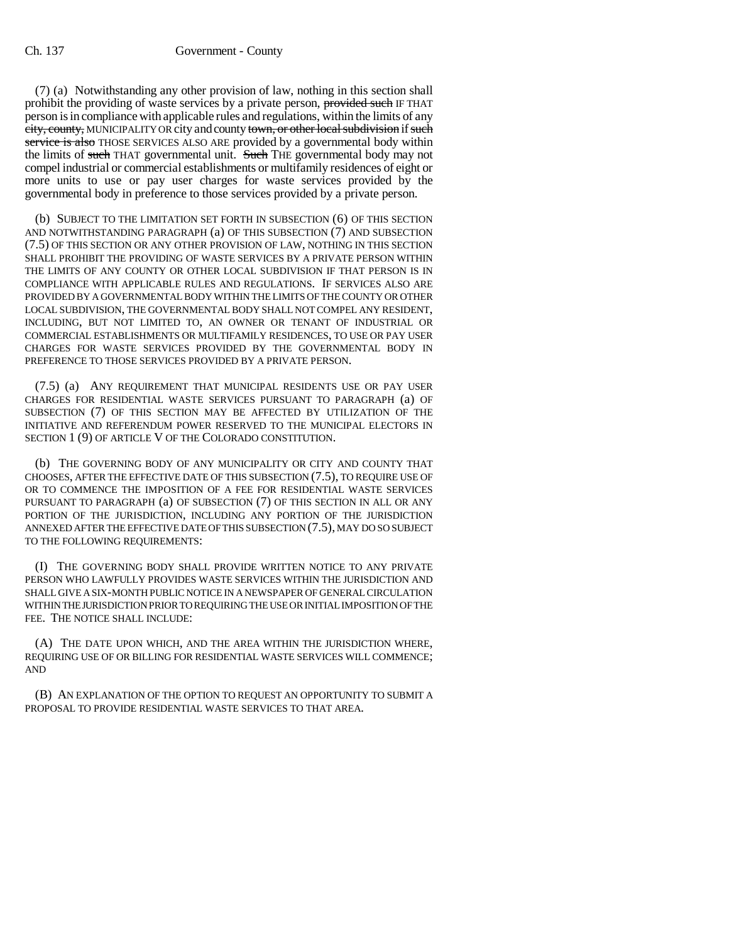(7) (a) Notwithstanding any other provision of law, nothing in this section shall prohibit the providing of waste services by a private person, provided such IF THAT person is in compliance with applicable rules and regulations, within the limits of any city, county, MUNICIPALITY OR city and county town, or other local subdivision if such service is also THOSE SERVICES ALSO ARE provided by a governmental body within the limits of such THAT governmental unit. Such THE governmental body may not compel industrial or commercial establishments or multifamily residences of eight or more units to use or pay user charges for waste services provided by the governmental body in preference to those services provided by a private person.

(b) SUBJECT TO THE LIMITATION SET FORTH IN SUBSECTION (6) OF THIS SECTION AND NOTWITHSTANDING PARAGRAPH (a) OF THIS SUBSECTION (7) AND SUBSECTION (7.5) OF THIS SECTION OR ANY OTHER PROVISION OF LAW, NOTHING IN THIS SECTION SHALL PROHIBIT THE PROVIDING OF WASTE SERVICES BY A PRIVATE PERSON WITHIN THE LIMITS OF ANY COUNTY OR OTHER LOCAL SUBDIVISION IF THAT PERSON IS IN COMPLIANCE WITH APPLICABLE RULES AND REGULATIONS. IF SERVICES ALSO ARE PROVIDED BY A GOVERNMENTAL BODY WITHIN THE LIMITS OF THE COUNTY OR OTHER LOCAL SUBDIVISION, THE GOVERNMENTAL BODY SHALL NOT COMPEL ANY RESIDENT, INCLUDING, BUT NOT LIMITED TO, AN OWNER OR TENANT OF INDUSTRIAL OR COMMERCIAL ESTABLISHMENTS OR MULTIFAMILY RESIDENCES, TO USE OR PAY USER CHARGES FOR WASTE SERVICES PROVIDED BY THE GOVERNMENTAL BODY IN PREFERENCE TO THOSE SERVICES PROVIDED BY A PRIVATE PERSON.

(7.5) (a) ANY REQUIREMENT THAT MUNICIPAL RESIDENTS USE OR PAY USER CHARGES FOR RESIDENTIAL WASTE SERVICES PURSUANT TO PARAGRAPH (a) OF SUBSECTION (7) OF THIS SECTION MAY BE AFFECTED BY UTILIZATION OF THE INITIATIVE AND REFERENDUM POWER RESERVED TO THE MUNICIPAL ELECTORS IN SECTION 1 (9) OF ARTICLE V OF THE COLORADO CONSTITUTION.

(b) THE GOVERNING BODY OF ANY MUNICIPALITY OR CITY AND COUNTY THAT CHOOSES, AFTER THE EFFECTIVE DATE OF THIS SUBSECTION (7.5), TO REQUIRE USE OF OR TO COMMENCE THE IMPOSITION OF A FEE FOR RESIDENTIAL WASTE SERVICES PURSUANT TO PARAGRAPH (a) OF SUBSECTION (7) OF THIS SECTION IN ALL OR ANY PORTION OF THE JURISDICTION, INCLUDING ANY PORTION OF THE JURISDICTION ANNEXED AFTER THE EFFECTIVE DATE OF THIS SUBSECTION (7.5), MAY DO SO SUBJECT TO THE FOLLOWING REQUIREMENTS:

(I) THE GOVERNING BODY SHALL PROVIDE WRITTEN NOTICE TO ANY PRIVATE PERSON WHO LAWFULLY PROVIDES WASTE SERVICES WITHIN THE JURISDICTION AND SHALL GIVE A SIX-MONTH PUBLIC NOTICE IN A NEWSPAPER OF GENERAL CIRCULATION WITHIN THE JURISDICTION PRIOR TO REQUIRING THE USE OR INITIAL IMPOSITION OF THE FEE. THE NOTICE SHALL INCLUDE:

(A) THE DATE UPON WHICH, AND THE AREA WITHIN THE JURISDICTION WHERE, REQUIRING USE OF OR BILLING FOR RESIDENTIAL WASTE SERVICES WILL COMMENCE; AND

(B) AN EXPLANATION OF THE OPTION TO REQUEST AN OPPORTUNITY TO SUBMIT A PROPOSAL TO PROVIDE RESIDENTIAL WASTE SERVICES TO THAT AREA.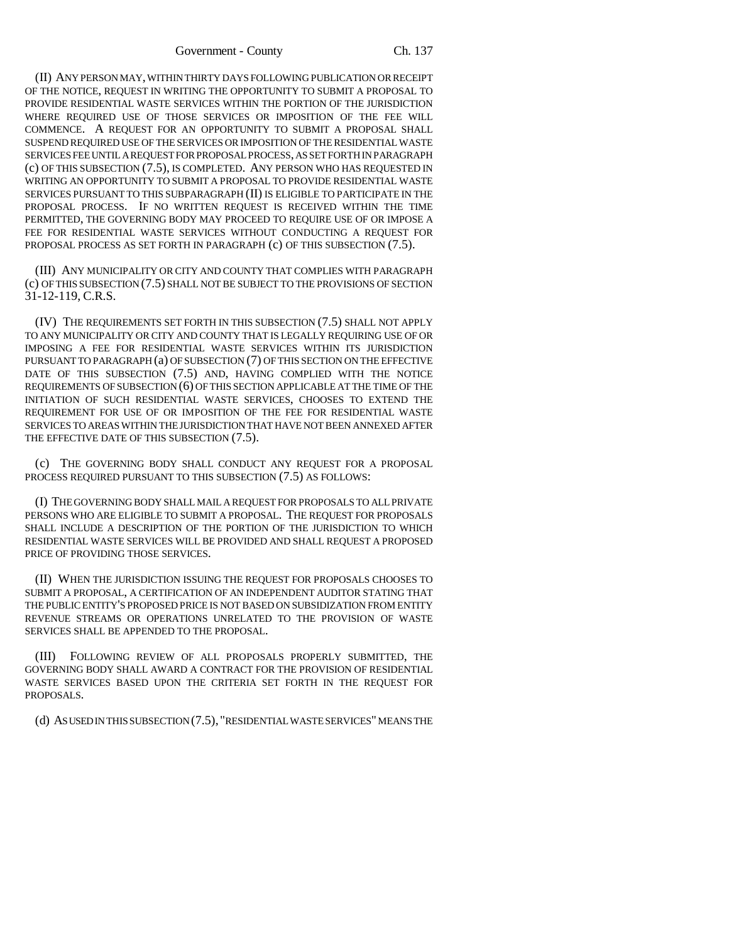(II) ANY PERSON MAY, WITHIN THIRTY DAYS FOLLOWING PUBLICATION OR RECEIPT OF THE NOTICE, REQUEST IN WRITING THE OPPORTUNITY TO SUBMIT A PROPOSAL TO PROVIDE RESIDENTIAL WASTE SERVICES WITHIN THE PORTION OF THE JURISDICTION WHERE REQUIRED USE OF THOSE SERVICES OR IMPOSITION OF THE FEE WILL COMMENCE. A REQUEST FOR AN OPPORTUNITY TO SUBMIT A PROPOSAL SHALL SUSPEND REQUIRED USE OF THE SERVICES OR IMPOSITION OF THE RESIDENTIAL WASTE SERVICES FEE UNTIL A REQUEST FOR PROPOSAL PROCESS, AS SET FORTH IN PARAGRAPH (c) OF THIS SUBSECTION (7.5), IS COMPLETED. ANY PERSON WHO HAS REQUESTED IN WRITING AN OPPORTUNITY TO SUBMIT A PROPOSAL TO PROVIDE RESIDENTIAL WASTE SERVICES PURSUANT TO THIS SUBPARAGRAPH (II) IS ELIGIBLE TO PARTICIPATE IN THE PROPOSAL PROCESS. IF NO WRITTEN REQUEST IS RECEIVED WITHIN THE TIME PERMITTED, THE GOVERNING BODY MAY PROCEED TO REQUIRE USE OF OR IMPOSE A FEE FOR RESIDENTIAL WASTE SERVICES WITHOUT CONDUCTING A REQUEST FOR PROPOSAL PROCESS AS SET FORTH IN PARAGRAPH (c) OF THIS SUBSECTION (7.5).

(III) ANY MUNICIPALITY OR CITY AND COUNTY THAT COMPLIES WITH PARAGRAPH (c) OF THIS SUBSECTION (7.5) SHALL NOT BE SUBJECT TO THE PROVISIONS OF SECTION 31-12-119, C.R.S.

(IV) THE REQUIREMENTS SET FORTH IN THIS SUBSECTION (7.5) SHALL NOT APPLY TO ANY MUNICIPALITY OR CITY AND COUNTY THAT IS LEGALLY REQUIRING USE OF OR IMPOSING A FEE FOR RESIDENTIAL WASTE SERVICES WITHIN ITS JURISDICTION PURSUANT TO PARAGRAPH (a) OF SUBSECTION (7) OF THIS SECTION ON THE EFFECTIVE DATE OF THIS SUBSECTION (7.5) AND, HAVING COMPLIED WITH THE NOTICE REQUIREMENTS OF SUBSECTION (6) OF THIS SECTION APPLICABLE AT THE TIME OF THE INITIATION OF SUCH RESIDENTIAL WASTE SERVICES, CHOOSES TO EXTEND THE REQUIREMENT FOR USE OF OR IMPOSITION OF THE FEE FOR RESIDENTIAL WASTE SERVICES TO AREAS WITHIN THE JURISDICTION THAT HAVE NOT BEEN ANNEXED AFTER THE EFFECTIVE DATE OF THIS SUBSECTION  $(7.5)$ .

(c) THE GOVERNING BODY SHALL CONDUCT ANY REQUEST FOR A PROPOSAL PROCESS REQUIRED PURSUANT TO THIS SUBSECTION (7.5) AS FOLLOWS:

(I) THE GOVERNING BODY SHALL MAIL A REQUEST FOR PROPOSALS TO ALL PRIVATE PERSONS WHO ARE ELIGIBLE TO SUBMIT A PROPOSAL. THE REQUEST FOR PROPOSALS SHALL INCLUDE A DESCRIPTION OF THE PORTION OF THE JURISDICTION TO WHICH RESIDENTIAL WASTE SERVICES WILL BE PROVIDED AND SHALL REQUEST A PROPOSED PRICE OF PROVIDING THOSE SERVICES.

(II) WHEN THE JURISDICTION ISSUING THE REQUEST FOR PROPOSALS CHOOSES TO SUBMIT A PROPOSAL, A CERTIFICATION OF AN INDEPENDENT AUDITOR STATING THAT THE PUBLIC ENTITY'S PROPOSED PRICE IS NOT BASED ON SUBSIDIZATION FROM ENTITY REVENUE STREAMS OR OPERATIONS UNRELATED TO THE PROVISION OF WASTE SERVICES SHALL BE APPENDED TO THE PROPOSAL.

(III) FOLLOWING REVIEW OF ALL PROPOSALS PROPERLY SUBMITTED, THE GOVERNING BODY SHALL AWARD A CONTRACT FOR THE PROVISION OF RESIDENTIAL WASTE SERVICES BASED UPON THE CRITERIA SET FORTH IN THE REQUEST FOR PROPOSALS.

(d) AS USED IN THIS SUBSECTION (7.5), "RESIDENTIAL WASTE SERVICES" MEANS THE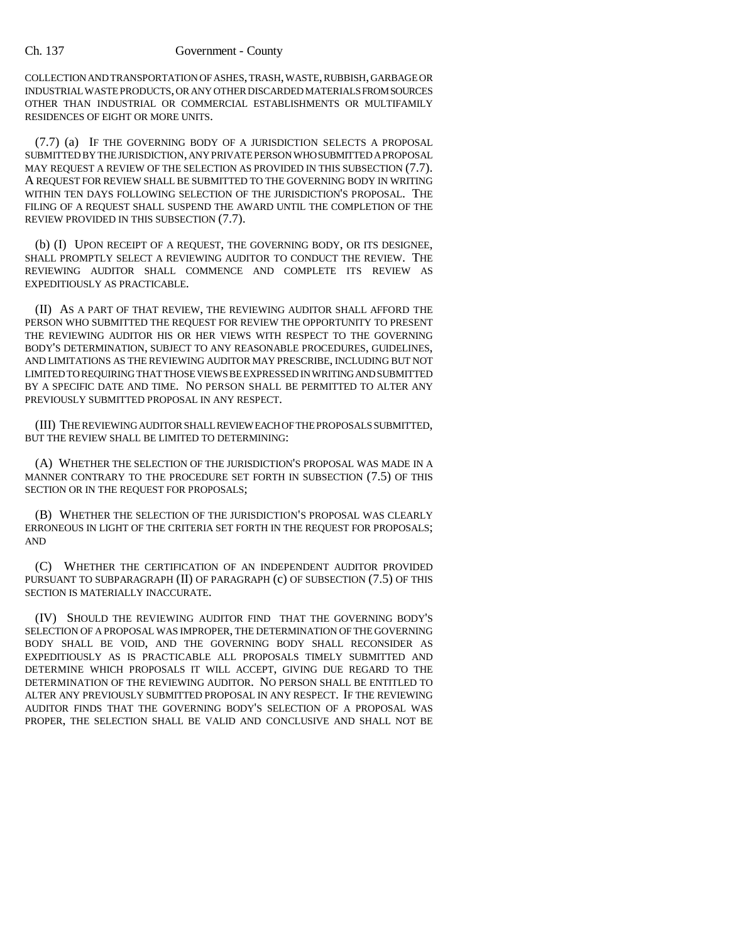## Ch. 137 Government - County

COLLECTION AND TRANSPORTATION OF ASHES, TRASH, WASTE, RUBBISH, GARBAGE OR INDUSTRIAL WASTE PRODUCTS, OR ANY OTHER DISCARDED MATERIALS FROM SOURCES OTHER THAN INDUSTRIAL OR COMMERCIAL ESTABLISHMENTS OR MULTIFAMILY RESIDENCES OF EIGHT OR MORE UNITS.

(7.7) (a) IF THE GOVERNING BODY OF A JURISDICTION SELECTS A PROPOSAL SUBMITTED BY THE JURISDICTION, ANY PRIVATE PERSON WHO SUBMITTED A PROPOSAL MAY REQUEST A REVIEW OF THE SELECTION AS PROVIDED IN THIS SUBSECTION (7.7). A REQUEST FOR REVIEW SHALL BE SUBMITTED TO THE GOVERNING BODY IN WRITING WITHIN TEN DAYS FOLLOWING SELECTION OF THE JURISDICTION'S PROPOSAL. THE FILING OF A REQUEST SHALL SUSPEND THE AWARD UNTIL THE COMPLETION OF THE REVIEW PROVIDED IN THIS SUBSECTION (7.7).

(b) (I) UPON RECEIPT OF A REQUEST, THE GOVERNING BODY, OR ITS DESIGNEE, SHALL PROMPTLY SELECT A REVIEWING AUDITOR TO CONDUCT THE REVIEW. THE REVIEWING AUDITOR SHALL COMMENCE AND COMPLETE ITS REVIEW AS EXPEDITIOUSLY AS PRACTICABLE.

(II) AS A PART OF THAT REVIEW, THE REVIEWING AUDITOR SHALL AFFORD THE PERSON WHO SUBMITTED THE REQUEST FOR REVIEW THE OPPORTUNITY TO PRESENT THE REVIEWING AUDITOR HIS OR HER VIEWS WITH RESPECT TO THE GOVERNING BODY'S DETERMINATION, SUBJECT TO ANY REASONABLE PROCEDURES, GUIDELINES, AND LIMITATIONS AS THE REVIEWING AUDITOR MAY PRESCRIBE, INCLUDING BUT NOT LIMITED TO REQUIRING THAT THOSE VIEWS BE EXPRESSED IN WRITING AND SUBMITTED BY A SPECIFIC DATE AND TIME. NO PERSON SHALL BE PERMITTED TO ALTER ANY PREVIOUSLY SUBMITTED PROPOSAL IN ANY RESPECT.

(III) THE REVIEWING AUDITOR SHALL REVIEW EACH OF THE PROPOSALS SUBMITTED, BUT THE REVIEW SHALL BE LIMITED TO DETERMINING:

(A) WHETHER THE SELECTION OF THE JURISDICTION'S PROPOSAL WAS MADE IN A MANNER CONTRARY TO THE PROCEDURE SET FORTH IN SUBSECTION (7.5) OF THIS SECTION OR IN THE REQUEST FOR PROPOSALS;

(B) WHETHER THE SELECTION OF THE JURISDICTION'S PROPOSAL WAS CLEARLY ERRONEOUS IN LIGHT OF THE CRITERIA SET FORTH IN THE REQUEST FOR PROPOSALS; AND

(C) WHETHER THE CERTIFICATION OF AN INDEPENDENT AUDITOR PROVIDED PURSUANT TO SUBPARAGRAPH (II) OF PARAGRAPH (c) OF SUBSECTION (7.5) OF THIS SECTION IS MATERIALLY INACCURATE.

(IV) SHOULD THE REVIEWING AUDITOR FIND THAT THE GOVERNING BODY'S SELECTION OF A PROPOSAL WAS IMPROPER, THE DETERMINATION OF THE GOVERNING BODY SHALL BE VOID, AND THE GOVERNING BODY SHALL RECONSIDER AS EXPEDITIOUSLY AS IS PRACTICABLE ALL PROPOSALS TIMELY SUBMITTED AND DETERMINE WHICH PROPOSALS IT WILL ACCEPT, GIVING DUE REGARD TO THE DETERMINATION OF THE REVIEWING AUDITOR. NO PERSON SHALL BE ENTITLED TO ALTER ANY PREVIOUSLY SUBMITTED PROPOSAL IN ANY RESPECT. IF THE REVIEWING AUDITOR FINDS THAT THE GOVERNING BODY'S SELECTION OF A PROPOSAL WAS PROPER, THE SELECTION SHALL BE VALID AND CONCLUSIVE AND SHALL NOT BE